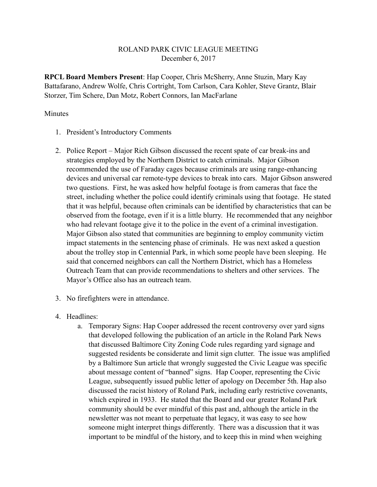## ROLAND PARK CIVIC LEAGUE MEETING December 6, 2017

**RPCL Board Members Present**: Hap Cooper, Chris McSherry, Anne Stuzin, Mary Kay Battafarano, Andrew Wolfe, Chris Cortright, Tom Carlson, Cara Kohler, Steve Grantz, Blair Storzer, Tim Schere, Dan Motz, Robert Connors, Ian MacFarlane

## Minutes

- 1. President's Introductory Comments
- 2. Police Report Major Rich Gibson discussed the recent spate of car break-ins and strategies employed by the Northern District to catch criminals. Major Gibson recommended the use of Faraday cages because criminals are using range-enhancing devices and universal car remote-type devices to break into cars. Major Gibson answered two questions. First, he was asked how helpful footage is from cameras that face the street, including whether the police could identify criminals using that footage. He stated that it was helpful, because often criminals can be identified by characteristics that can be observed from the footage, even if it is a little blurry. He recommended that any neighbor who had relevant footage give it to the police in the event of a criminal investigation. Major Gibson also stated that communities are beginning to employ community victim impact statements in the sentencing phase of criminals. He was next asked a question about the trolley stop in Centennial Park, in which some people have been sleeping. He said that concerned neighbors can call the Northern District, which has a Homeless Outreach Team that can provide recommendations to shelters and other services. The Mayor's Office also has an outreach team.
- 3. No firefighters were in attendance.
- 4. Headlines:
	- a. Temporary Signs: Hap Cooper addressed the recent controversy over yard signs that developed following the publication of an article in the Roland Park News that discussed Baltimore City Zoning Code rules regarding yard signage and suggested residents be considerate and limit sign clutter. The issue was amplified by a Baltimore Sun article that wrongly suggested the Civic League was specific about message content of "banned" signs. Hap Cooper, representing the Civic League, subsequently issued public letter of apology on December 5th. Hap also discussed the racist history of Roland Park, including early restrictive covenants, which expired in 1933. He stated that the Board and our greater Roland Park community should be ever mindful of this past and, although the article in the newsletter was not meant to perpetuate that legacy, it was easy to see how someone might interpret things differently. There was a discussion that it was important to be mindful of the history, and to keep this in mind when weighing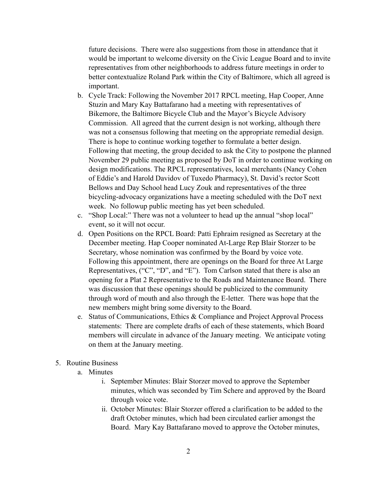future decisions. There were also suggestions from those in attendance that it would be important to welcome diversity on the Civic League Board and to invite representatives from other neighborhoods to address future meetings in order to better contextualize Roland Park within the City of Baltimore, which all agreed is important.

- b. Cycle Track: Following the November 2017 RPCL meeting, Hap Cooper, Anne Stuzin and Mary Kay Battafarano had a meeting with representatives of Bikemore, the Baltimore Bicycle Club and the Mayor's Bicycle Advisory Commission. All agreed that the current design is not working, although there was not a consensus following that meeting on the appropriate remedial design. There is hope to continue working together to formulate a better design. Following that meeting, the group decided to ask the City to postpone the planned November 29 public meeting as proposed by DoT in order to continue working on design modifications. The RPCL representatives, local merchants (Nancy Cohen of Eddie's and Harold Davidov of Tuxedo Pharmacy), St. David's rector Scott Bellows and Day School head Lucy Zouk and representatives of the three bicycling-advocacy organizations have a meeting scheduled with the DoT next week. No followup public meeting has yet been scheduled.
- c. "Shop Local:" There was not a volunteer to head up the annual "shop local" event, so it will not occur.
- d. Open Positions on the RPCL Board: Patti Ephraim resigned as Secretary at the December meeting. Hap Cooper nominated At-Large Rep Blair Storzer to be Secretary, whose nomination was confirmed by the Board by voice vote. Following this appointment, there are openings on the Board for three At Large Representatives, ("C", "D", and "E"). Tom Carlson stated that there is also an opening for a Plat 2 Representative to the Roads and Maintenance Board. There was discussion that these openings should be publicized to the community through word of mouth and also through the E-letter. There was hope that the new members might bring some diversity to the Board.
- e. Status of Communications, Ethics & Compliance and Project Approval Process statements: There are complete drafts of each of these statements, which Board members will circulate in advance of the January meeting. We anticipate voting on them at the January meeting.
- 5. Routine Business
	- a. Minutes
		- i. September Minutes: Blair Storzer moved to approve the September minutes, which was seconded by Tim Schere and approved by the Board through voice vote.
		- ii. October Minutes: Blair Storzer offered a clarification to be added to the draft October minutes, which had been circulated earlier amongst the Board. Mary Kay Battafarano moved to approve the October minutes,